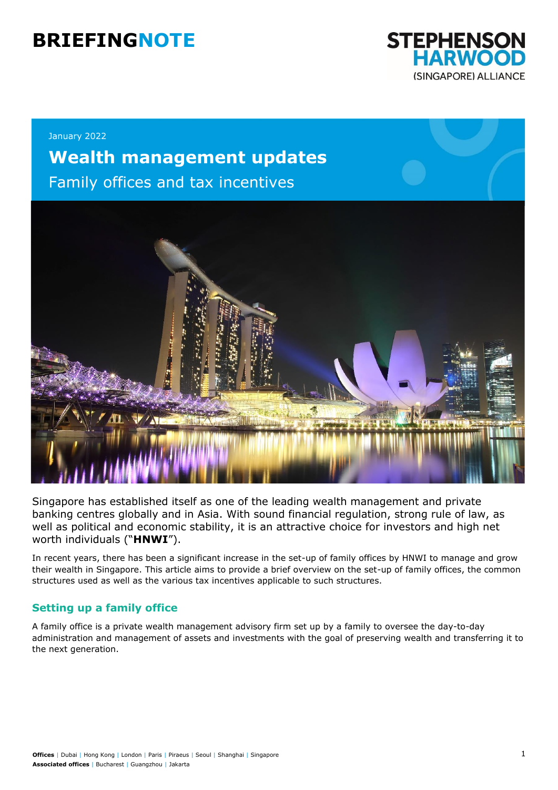# **BRIEFINGNOTE**



January 2022

# **Wealth management updates**

Family offices and tax incentives



Singapore has established itself as one of the leading wealth management and private banking centres globally and in Asia. With sound financial regulation, strong rule of law, as well as political and economic stability, it is an attractive choice for investors and high net worth individuals ("**HNWI**").

In recent years, there has been a significant increase in the set-up of family offices by HNWI to manage and grow their wealth in Singapore. This article aims to provide a brief overview on the set-up of family offices, the common structures used as well as the various tax incentives applicable to such structures.

# **Setting up a family office**

A family office is a private wealth management advisory firm set up by a family to oversee the day-to-day administration and management of assets and investments with the goal of preserving wealth and transferring it to the next generation.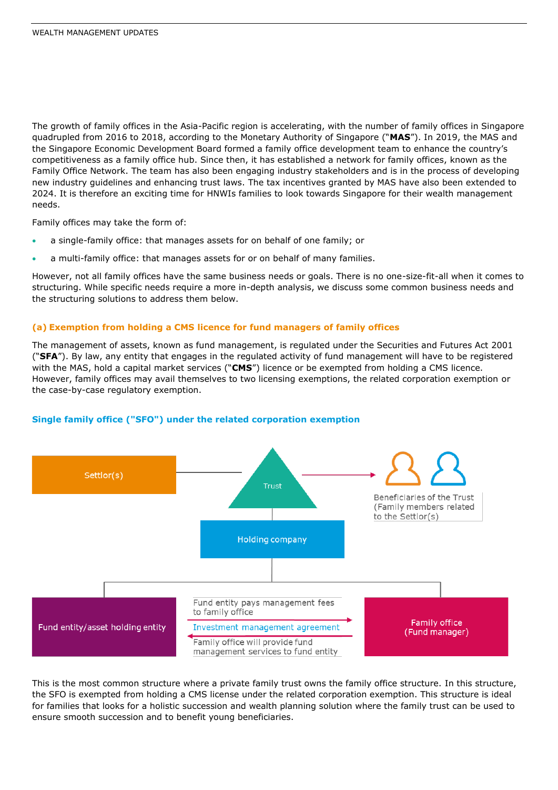The growth of family offices in the Asia-Pacific region is accelerating, with the number of family offices in Singapore quadrupled from 2016 to 2018, according to the Monetary Authority of Singapore ("**MAS**"). In 2019, the MAS and the Singapore Economic Development Board formed a family office development team to enhance the country's competitiveness as a family office hub. Since then, it has established a network for family offices, known as the Family Office Network. The team has also been engaging industry stakeholders and is in the process of developing new industry guidelines and enhancing trust laws. The tax incentives granted by MAS have also been extended to 2024. It is therefore an exciting time for HNWIs families to look towards Singapore for their wealth management needs.

Family offices may take the form of:

- a single-family office: that manages assets for on behalf of one family; or
- a multi-family office: that manages assets for or on behalf of many families.

However, not all family offices have the same business needs or goals. There is no one-size-fit-all when it comes to structuring. While specific needs require a more in-depth analysis, we discuss some common business needs and the structuring solutions to address them below.

#### **(a) Exemption from holding a CMS licence for fund managers of family offices**

The management of assets, known as fund management, is regulated under the Securities and Futures Act 2001 ("**SFA**"). By law, any entity that engages in the regulated activity of fund management will have to be registered with the MAS, hold a capital market services ("**CMS**") licence or be exempted from holding a CMS licence. However, family offices may avail themselves to two licensing exemptions, the related corporation exemption or the case-by-case regulatory exemption.



#### **Single family office ("SFO") under the related corporation exemption**

This is the most common structure where a private family trust owns the family office structure. In this structure, the SFO is exempted from holding a CMS license under the related corporation exemption. This structure is ideal for families that looks for a holistic succession and wealth planning solution where the family trust can be used to ensure smooth succession and to benefit young beneficiaries.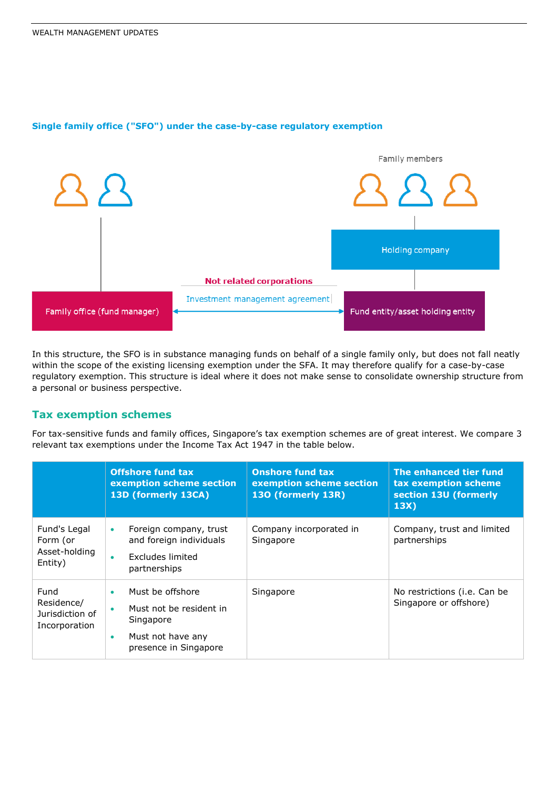

### **Single family office ("SFO") under the case-by-case regulatory exemption**

In this structure, the SFO is in substance managing funds on behalf of a single family only, but does not fall neatly within the scope of the existing licensing exemption under the SFA. It may therefore qualify for a case-by-case regulatory exemption. This structure is ideal where it does not make sense to consolidate ownership structure from a personal or business perspective.

# **Tax exemption schemes**

For tax-sensitive funds and family offices, Singapore's tax exemption schemes are of great interest. We compare 3 relevant tax exemptions under the Income Tax Act 1947 in the table below.

|                                                        | <b>Offshore fund tax</b><br>exemption scheme section<br>13D (formerly 13CA)                                           | <b>Onshore fund tax</b><br>exemption scheme section<br>130 (formerly 13R) | The enhanced tier fund<br>tax exemption scheme<br>section 13U (formerly<br>13X) |
|--------------------------------------------------------|-----------------------------------------------------------------------------------------------------------------------|---------------------------------------------------------------------------|---------------------------------------------------------------------------------|
| Fund's Legal<br>Form (or<br>Asset-holding<br>Entity)   | Foreign company, trust<br>۰<br>and foreign individuals<br>Excludes limited<br>٠<br>partnerships                       | Company incorporated in<br>Singapore                                      | Company, trust and limited<br>partnerships                                      |
| Fund<br>Residence/<br>Jurisdiction of<br>Incorporation | Must be offshore<br>٠<br>Must not be resident in<br>۰<br>Singapore<br>Must not have any<br>۰<br>presence in Singapore | Singapore                                                                 | No restrictions (i.e. Can be<br>Singapore or offshore)                          |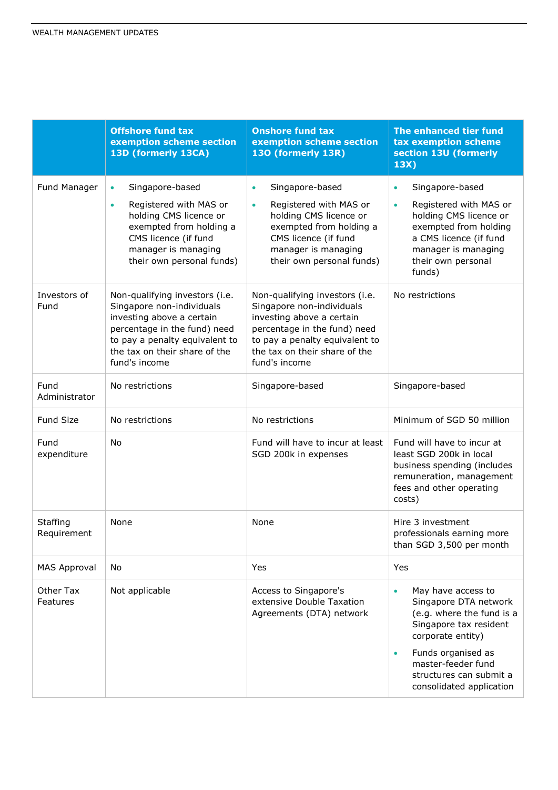|                         | <b>Offshore fund tax</b><br>exemption scheme section<br>13D (formerly 13CA)                                                                                                                                  | <b>Onshore fund tax</b><br>exemption scheme section<br>130 (formerly 13R)                                                                                                                                    | The enhanced tier fund<br>tax exemption scheme<br>section 13U (formerly<br>13X)                                                                                                                                                                      |
|-------------------------|--------------------------------------------------------------------------------------------------------------------------------------------------------------------------------------------------------------|--------------------------------------------------------------------------------------------------------------------------------------------------------------------------------------------------------------|------------------------------------------------------------------------------------------------------------------------------------------------------------------------------------------------------------------------------------------------------|
| Fund Manager            | Singapore-based<br>$\bullet$<br>Registered with MAS or<br>$\bullet$<br>holding CMS licence or<br>exempted from holding a<br>CMS licence (if fund<br>manager is managing<br>their own personal funds)         | Singapore-based<br>$\bullet$<br>Registered with MAS or<br>$\bullet$<br>holding CMS licence or<br>exempted from holding a<br>CMS licence (if fund<br>manager is managing<br>their own personal funds)         | Singapore-based<br>$\bullet$<br>Registered with MAS or<br>$\bullet$<br>holding CMS licence or<br>exempted from holding<br>a CMS licence (if fund<br>manager is managing<br>their own personal<br>funds)                                              |
| Investors of<br>Fund    | Non-qualifying investors (i.e.<br>Singapore non-individuals<br>investing above a certain<br>percentage in the fund) need<br>to pay a penalty equivalent to<br>the tax on their share of the<br>fund's income | Non-qualifying investors (i.e.<br>Singapore non-individuals<br>investing above a certain<br>percentage in the fund) need<br>to pay a penalty equivalent to<br>the tax on their share of the<br>fund's income | No restrictions                                                                                                                                                                                                                                      |
| Fund<br>Administrator   | No restrictions                                                                                                                                                                                              | Singapore-based                                                                                                                                                                                              | Singapore-based                                                                                                                                                                                                                                      |
| <b>Fund Size</b>        | No restrictions                                                                                                                                                                                              | No restrictions                                                                                                                                                                                              | Minimum of SGD 50 million                                                                                                                                                                                                                            |
| Fund<br>expenditure     | No                                                                                                                                                                                                           | Fund will have to incur at least<br>SGD 200k in expenses                                                                                                                                                     | Fund will have to incur at<br>least SGD 200k in local<br>business spending (includes<br>remuneration, management<br>fees and other operating<br>costs)                                                                                               |
| Staffing<br>Requirement | None                                                                                                                                                                                                         | None                                                                                                                                                                                                         | Hire 3 investment<br>professionals earning more<br>than SGD 3,500 per month                                                                                                                                                                          |
| <b>MAS Approval</b>     | No                                                                                                                                                                                                           | Yes                                                                                                                                                                                                          | Yes                                                                                                                                                                                                                                                  |
| Other Tax<br>Features   | Not applicable                                                                                                                                                                                               | Access to Singapore's<br>extensive Double Taxation<br>Agreements (DTA) network                                                                                                                               | May have access to<br>$\bullet$<br>Singapore DTA network<br>(e.g. where the fund is a<br>Singapore tax resident<br>corporate entity)<br>Funds organised as<br>$\bullet$<br>master-feeder fund<br>structures can submit a<br>consolidated application |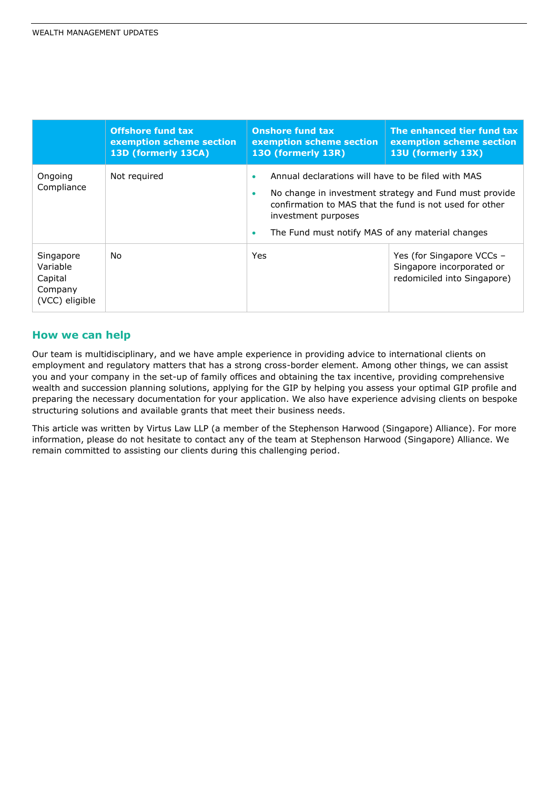|                                                               | <b>Offshore fund tax</b><br>exemption scheme section<br>13D (formerly 13CA) | <b>Onshore fund tax</b><br>exemption scheme section<br>130 (formerly 13R)                                                                                                                                                                                                                 | The enhanced tier fund tax<br>exemption scheme section<br>13U (formerly 13X)          |
|---------------------------------------------------------------|-----------------------------------------------------------------------------|-------------------------------------------------------------------------------------------------------------------------------------------------------------------------------------------------------------------------------------------------------------------------------------------|---------------------------------------------------------------------------------------|
| Ongoing<br>Compliance                                         | Not required                                                                | Annual declarations will have to be filed with MAS<br>$\bullet$<br>No change in investment strategy and Fund must provide<br>$\bullet$<br>confirmation to MAS that the fund is not used for other<br>investment purposes<br>The Fund must notify MAS of any material changes<br>$\bullet$ |                                                                                       |
| Singapore<br>Variable<br>Capital<br>Company<br>(VCC) eligible | No                                                                          | Yes                                                                                                                                                                                                                                                                                       | Yes (for Singapore VCCs -<br>Singapore incorporated or<br>redomiciled into Singapore) |

### **How we can help**

Our team is multidisciplinary, and we have ample experience in providing advice to international clients on employment and regulatory matters that has a strong cross-border element. Among other things, we can assist you and your company in the set-up of family offices and obtaining the tax incentive, providing comprehensive wealth and succession planning solutions, applying for the GIP by helping you assess your optimal GIP profile and preparing the necessary documentation for your application. We also have experience advising clients on bespoke structuring solutions and available grants that meet their business needs.

This article was written by Virtus Law LLP (a member of the Stephenson Harwood (Singapore) Alliance). For more information, please do not hesitate to contact any of the team at Stephenson Harwood (Singapore) Alliance. We remain committed to assisting our clients during this challenging period.